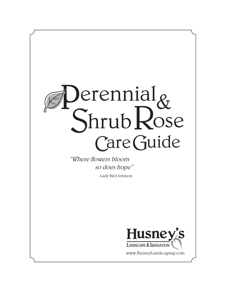# Care Guide Perennial<sub>&</sub> ShrubRose

"Where flowers bloom so does hope"

- Lady Bird Johnson



www.HusneyLandscaping.com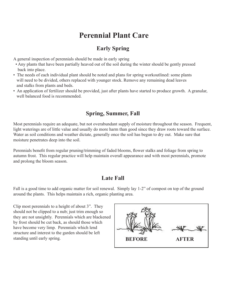## **Perennial Plant Care**

## **Early Spring**

A general inspection of perennials should be made in early spring

- Any plants that have been partially heaved out of the soil during the winter should be gently pressed back into place.
- The needs of each individual plant should be noted and plans for spring workoutlined: some plants will need to be divided, others replaced with younger stock. Remove any remaining dead leaves and stalks from plants and beds.
- An application of fertilizer should be provided, just after plants have started to produce growth. A granular, well balanced food is recommended.

## **Spring, Summer, Fall**

Most perennials require an adequate, but not overabundant supply of moisture throughout the season. Frequent, light waterings are of little value and usually do more harm than good since they draw roots toward the surface. Water as soil conditions and weather dictate, generally once the soil has begun to dry out. Make sure that moisture penetrates deep into the soil.

Perennials benefit from regular pruning/trimming of faded blooms, flower stalks and foliage from spring to autumn frost. This regular practice will help maintain overall appearance and with most perennials, promote and prolong the bloom season.

## **Late Fall**

Fall is a good time to add organic matter for soil renewal. Simply lay 1-2" of compost on top of the ground around the plants. This helps maintain a rich, organic planting area.

Clip most perennials to a height of about 3". They should not be clipped to a nub; just trim enough so they are not unsightly. Perennials which are blackened by frost should be cut back, as should those which have become very limp. Perennials which lend structure and interest to the garden should be left standing until early spring. **BEFORE AFTER**